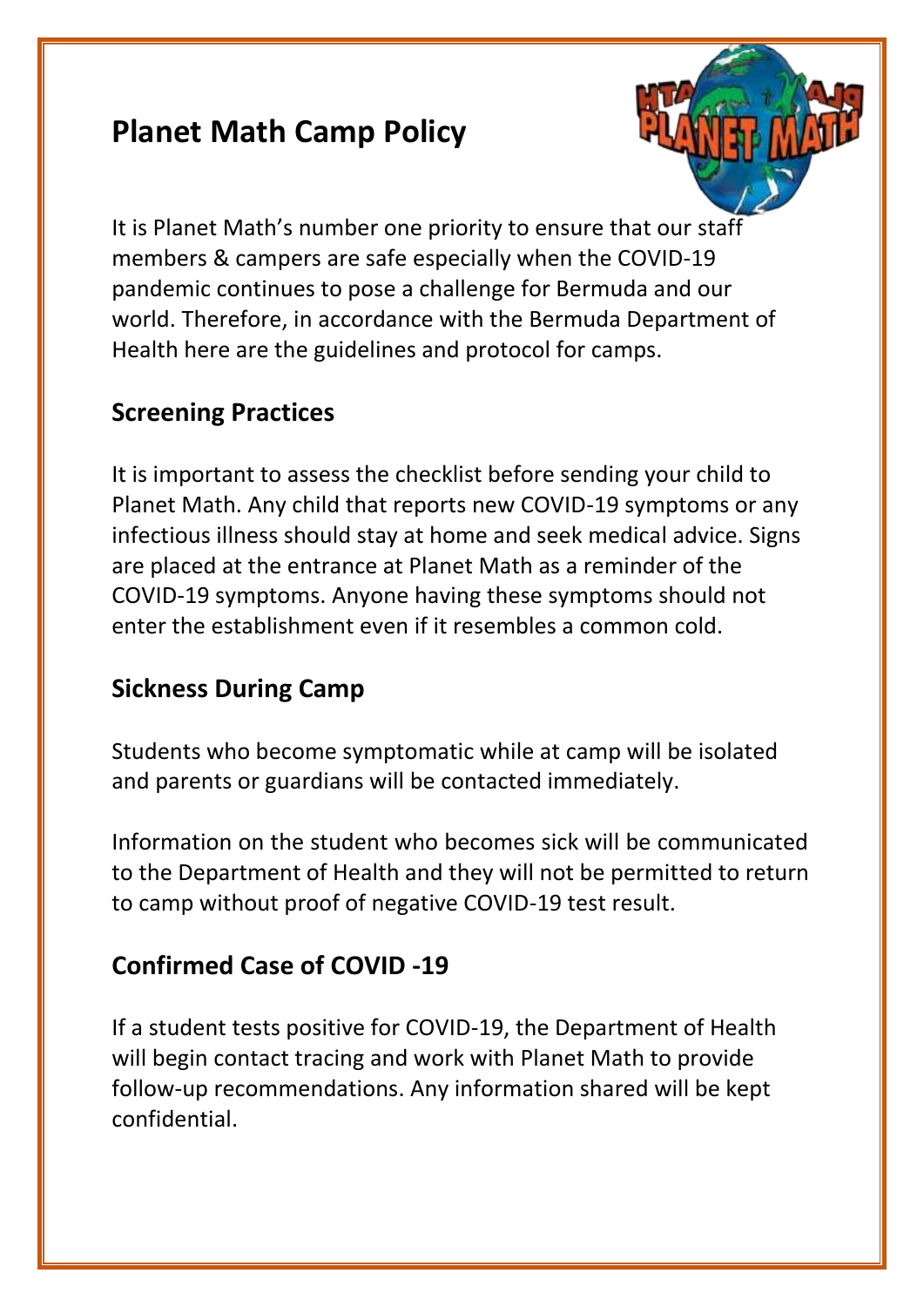# **Planet Math Camp Policy**



It is Planet Math's number one priority to ensure that our staff members & campers are safe especially when the COVID-19 pandemic continues to pose a challenge for Bermuda and our world. Therefore, in accordance with the Bermuda Department of Health here are the guidelines and protocol for camps.

# **Screening Practices**

It is important to assess the checklist before sending your child to Planet Math. Any child that reports new COVID-19 symptoms or any infectious illness should stay at home and seek medical advice. Signs are placed at the entrance at Planet Math as a reminder of the COVID-19 symptoms. Anyone having these symptoms should not enter the establishment even if it resembles a common cold.

# **Sickness During Camp**

Students who become symptomatic while at camp will be isolated and parents or guardians will be contacted immediately.

Information on the student who becomes sick will be communicated to the Department of Health and they will not be permitted to return to camp without proof of negative COVID-19 test result.

# **Confirmed Case of COVID -19**

If a student tests positive for COVID-19, the Department of Health will begin contact tracing and work with Planet Math to provide follow-up recommendations. Any information shared will be kept confidential.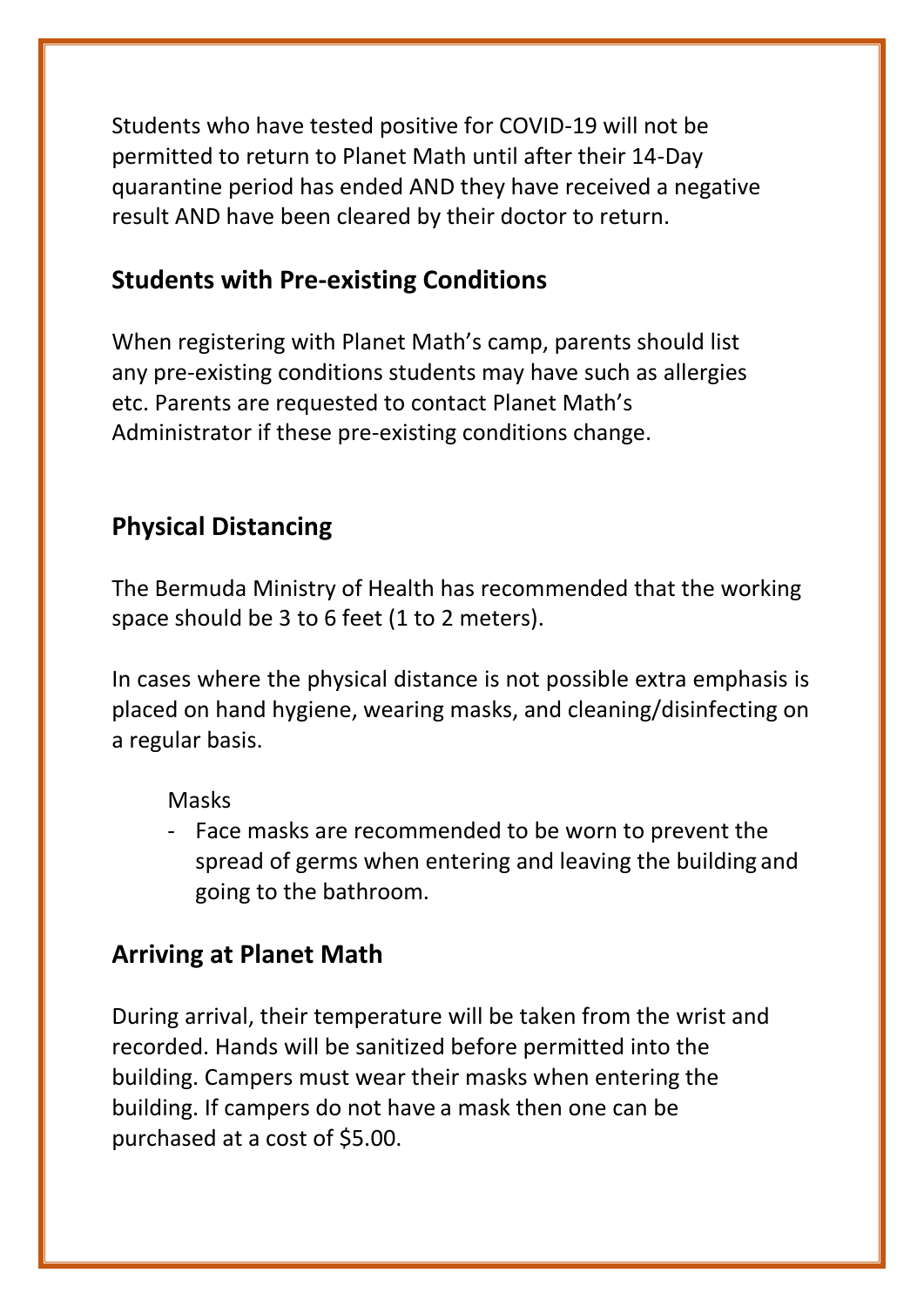Students who have tested positive for COVID-19 will not be permitted to return to Planet Math until after their 14-Day quarantine period has ended AND they have received a negative result AND have been cleared by their doctor to return.

#### **Students with Pre-existing Conditions**

When registering with Planet Math's camp, parents should list any pre-existing conditions students may have such as allergies etc. Parents are requested to contact Planet Math's Administrator if these pre-existing conditions change.

### **Physical Distancing**

The Bermuda Ministry of Health has recommended that the working space should be 3 to 6 feet (1 to 2 meters).

In cases where the physical distance is not possible extra emphasis is placed on hand hygiene, wearing masks, and cleaning/disinfecting on a regular basis.

#### Masks

- Face masks are recommended to be worn to prevent the spread of germs when entering and leaving the building and going to the bathroom.

### **Arriving at Planet Math**

During arrival, their temperature will be taken from the wrist and recorded. Hands will be sanitized before permitted into the building. Campers must wear their masks when entering the building. If campers do not have a mask then one can be purchased at a cost of \$5.00.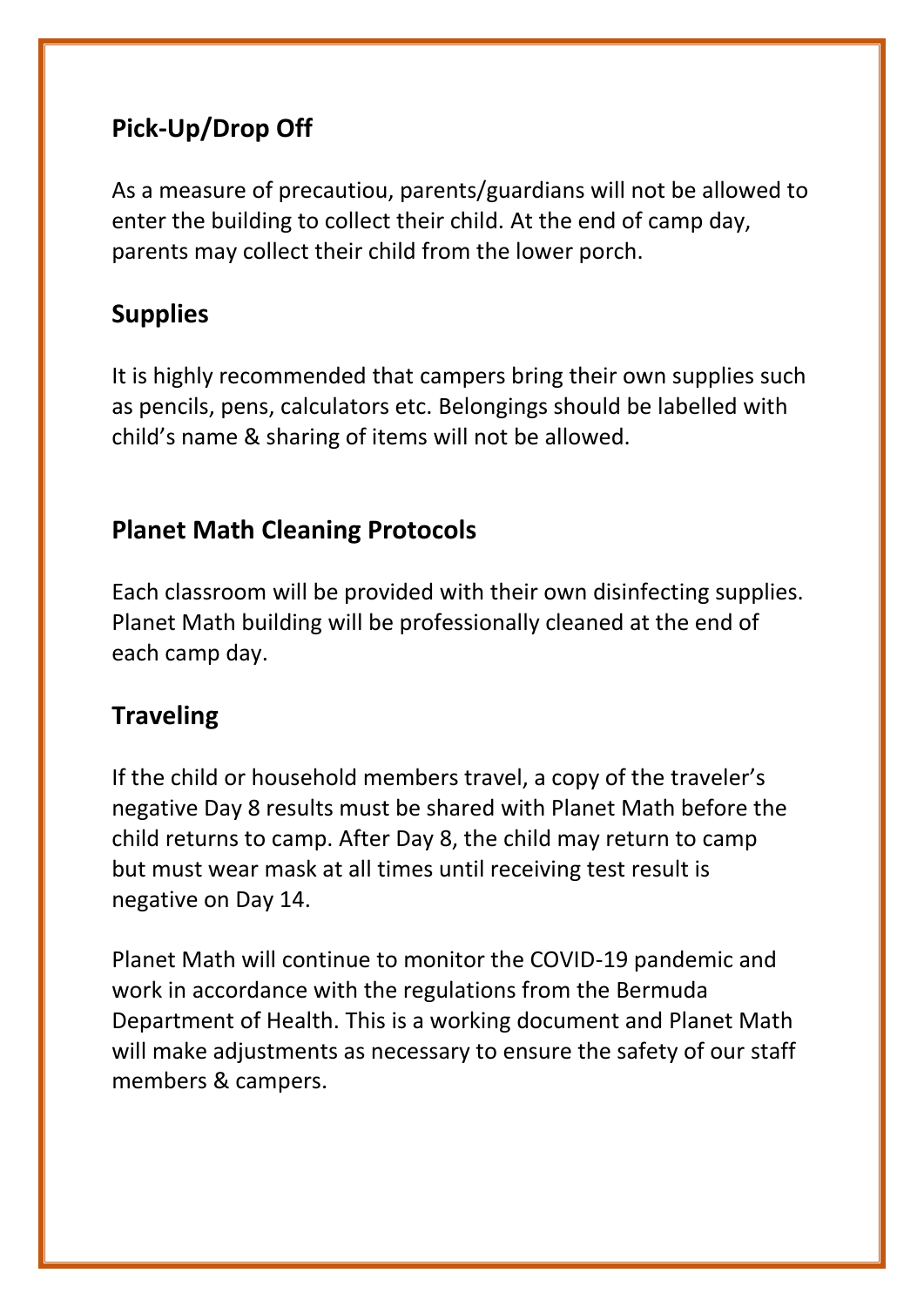# **Pick-Up/Drop Off**

As a measure of precautiou, parents/guardians will not be allowed to enter the building to collect their child. At the end of camp day, parents may collect their child from the lower porch.

# **Supplies**

It is highly recommended that campers bring their own supplies such as pencils, pens, calculators etc. Belongings should be labelled with child's name & sharing of items will not be allowed.

### **Planet Math Cleaning Protocols**

Each classroom will be provided with their own disinfecting supplies. Planet Math building will be professionally cleaned at the end of each camp day.

#### **Traveling**

If the child or household members travel, a copy of the traveler's negative Day 8 results must be shared with Planet Math before the child returns to camp. After Day 8, the child may return to camp but must wear mask at all times until receiving test result is negative on Day 14.

Planet Math will continue to monitor the COVID-19 pandemic and work in accordance with the regulations from the Bermuda Department of Health. This is a working document and Planet Math will make adjustments as necessary to ensure the safety of our staff members & campers.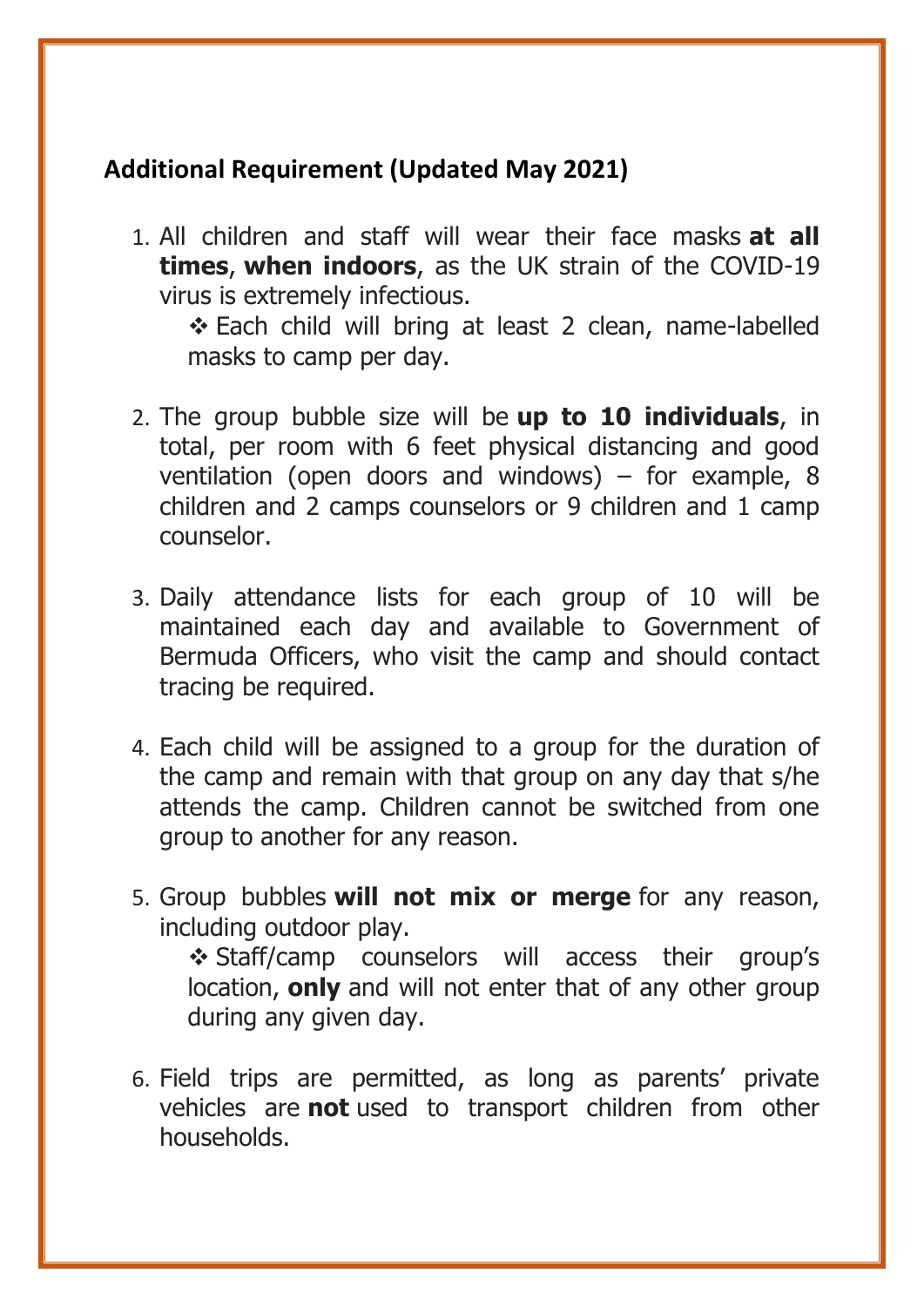## **Additional Requirement (Updated May 2021)**

1. All children and staff will wear their face masks **at all times**, **when indoors**, as the UK strain of the COVID-19 virus is extremely infectious.

❖ Each child will bring at least 2 clean, name-labelled masks to camp per day.

- 2. The group bubble size will be **up to 10 individuals**, in total, per room with 6 feet physical distancing and good ventilation (open doors and windows) – for example,  $8$ children and 2 camps counselors or 9 children and 1 camp counselor.
- 3. Daily attendance lists for each group of 10 will be maintained each day and available to Government of Bermuda Officers, who visit the camp and should contact tracing be required.
- 4. Each child will be assigned to a group for the duration of the camp and remain with that group on any day that s/he attends the camp. Children cannot be switched from one group to another for any reason.
- 5. Group bubbles **will not mix or merge** for any reason, including outdoor play. ❖ Staff/camp counselors will access their group's

location, **only** and will not enter that of any other group during any given day.

6. Field trips are permitted, as long as parents' private vehicles are **not** used to transport children from other households.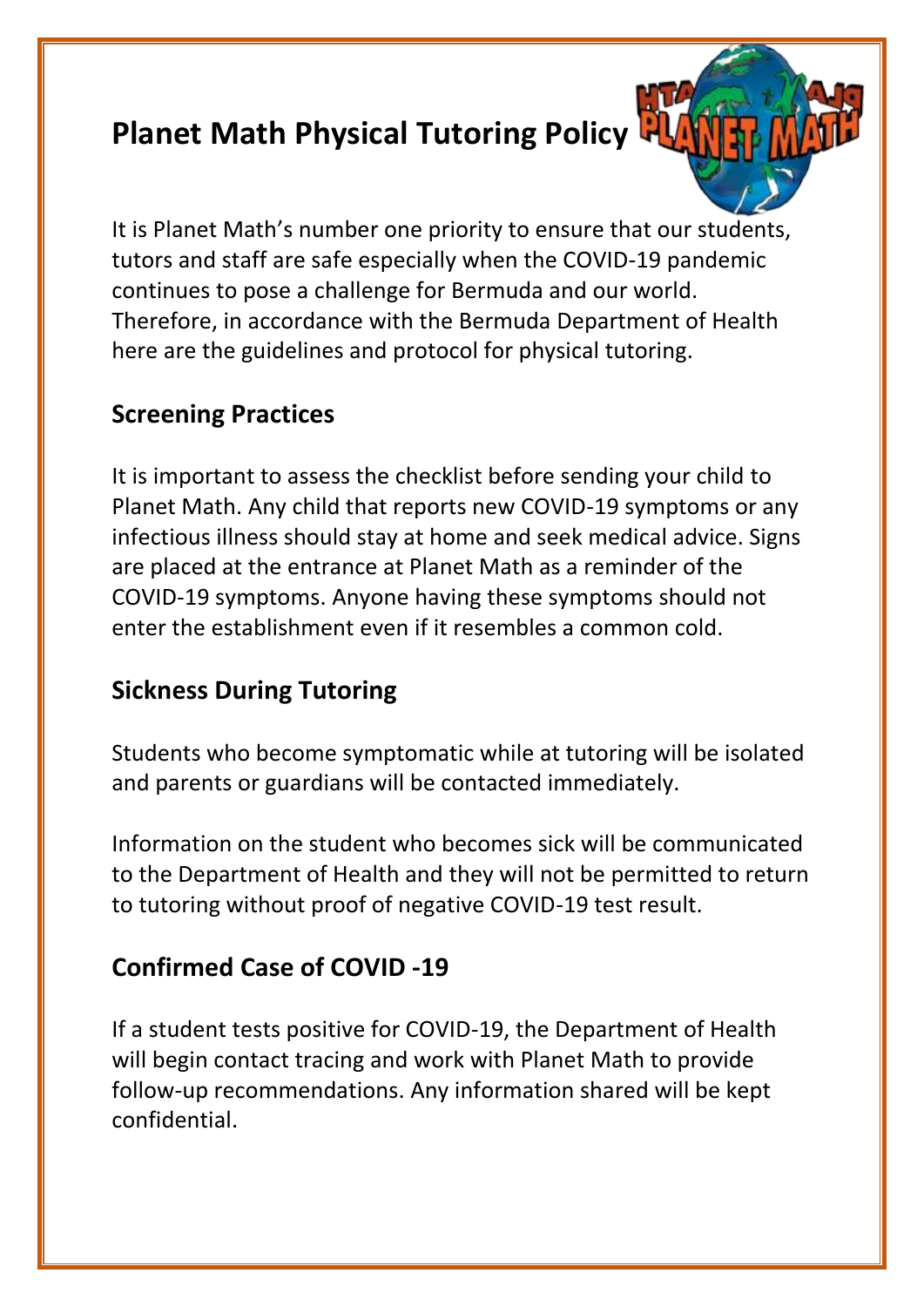# **Planet Math Physical Tutoring Policy**



It is Planet Math's number one priority to ensure that our students, tutors and staff are safe especially when the COVID-19 pandemic continues to pose a challenge for Bermuda and our world. Therefore, in accordance with the Bermuda Department of Health here are the guidelines and protocol for physical tutoring.

# **Screening Practices**

It is important to assess the checklist before sending your child to Planet Math. Any child that reports new COVID-19 symptoms or any infectious illness should stay at home and seek medical advice. Signs are placed at the entrance at Planet Math as a reminder of the COVID-19 symptoms. Anyone having these symptoms should not enter the establishment even if it resembles a common cold.

# **Sickness During Tutoring**

Students who become symptomatic while at tutoring will be isolated and parents or guardians will be contacted immediately.

Information on the student who becomes sick will be communicated to the Department of Health and they will not be permitted to return to tutoring without proof of negative COVID-19 test result.

# **Confirmed Case of COVID -19**

If a student tests positive for COVID-19, the Department of Health will begin contact tracing and work with Planet Math to provide follow-up recommendations. Any information shared will be kept confidential.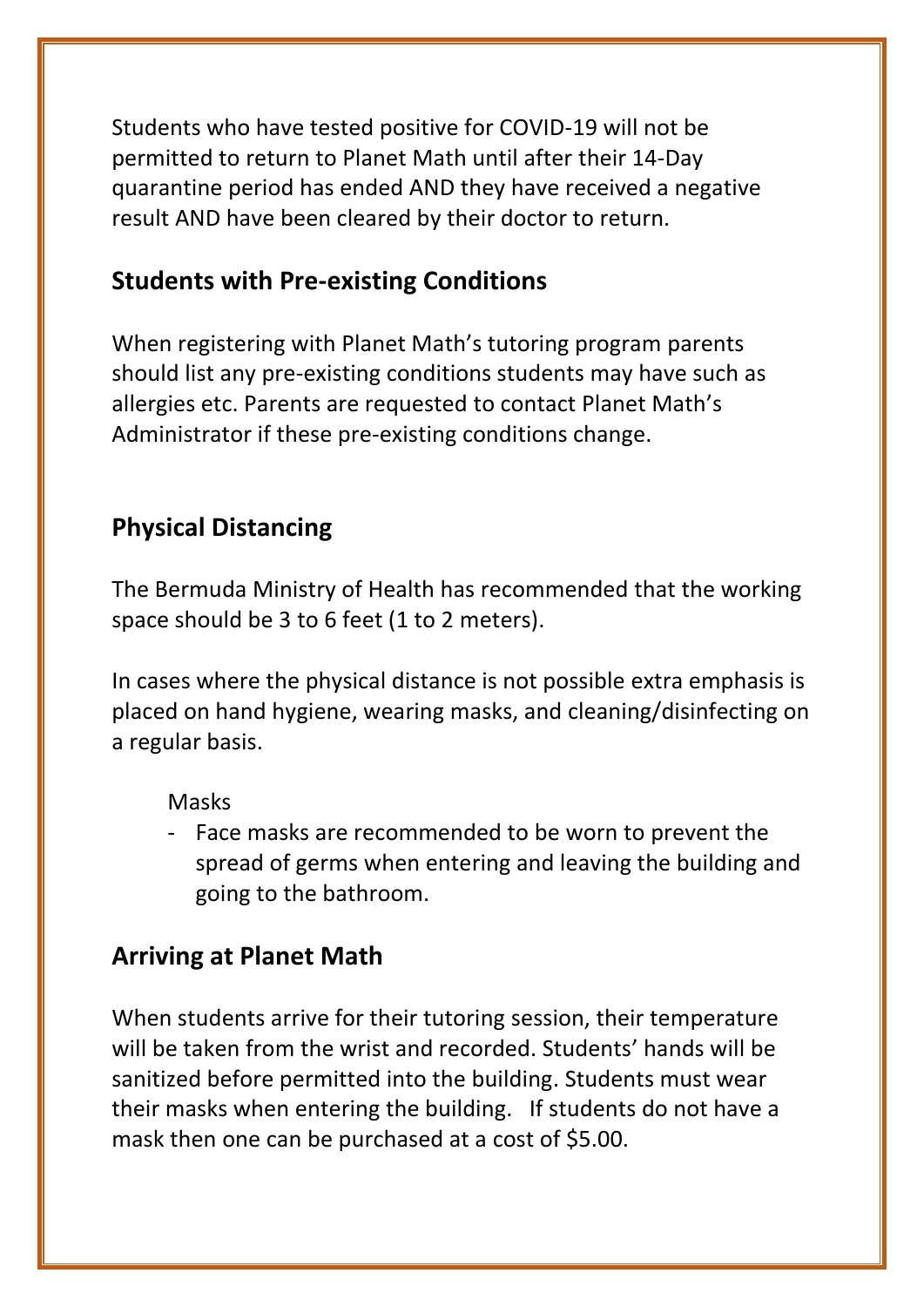Students who have tested positive for COVID-19 will not be permitted to return to Planet Math until after their 14-Day quarantine period has ended AND they have received a negative result AND have been cleared by their doctor to return.

#### **Students with Pre-existing Conditions**

When registering with Planet Math's tutoring program parents should list any pre-existing conditions students may have such as allergies etc. Parents are requested to contact Planet Math's Administrator if these pre-existing conditions change.

### **Physical Distancing**

The Bermuda Ministry of Health has recommended that the working space should be 3 to 6 feet (1 to 2 meters).

In cases where the physical distance is not possible extra emphasis is placed on hand hygiene, wearing masks, and cleaning/disinfecting on a regular basis.

#### Masks

- Face masks are recommended to be worn to prevent the spread of germs when entering and leaving the building and going to the bathroom.

### **Arriving at Planet Math**

When students arrive for their tutoring session, their temperature will be taken from the wrist and recorded. Students' hands will be sanitized before permitted into the building. Students must wear their masks when entering the building. If students do not have a mask then one can be purchased at a cost of \$5.00.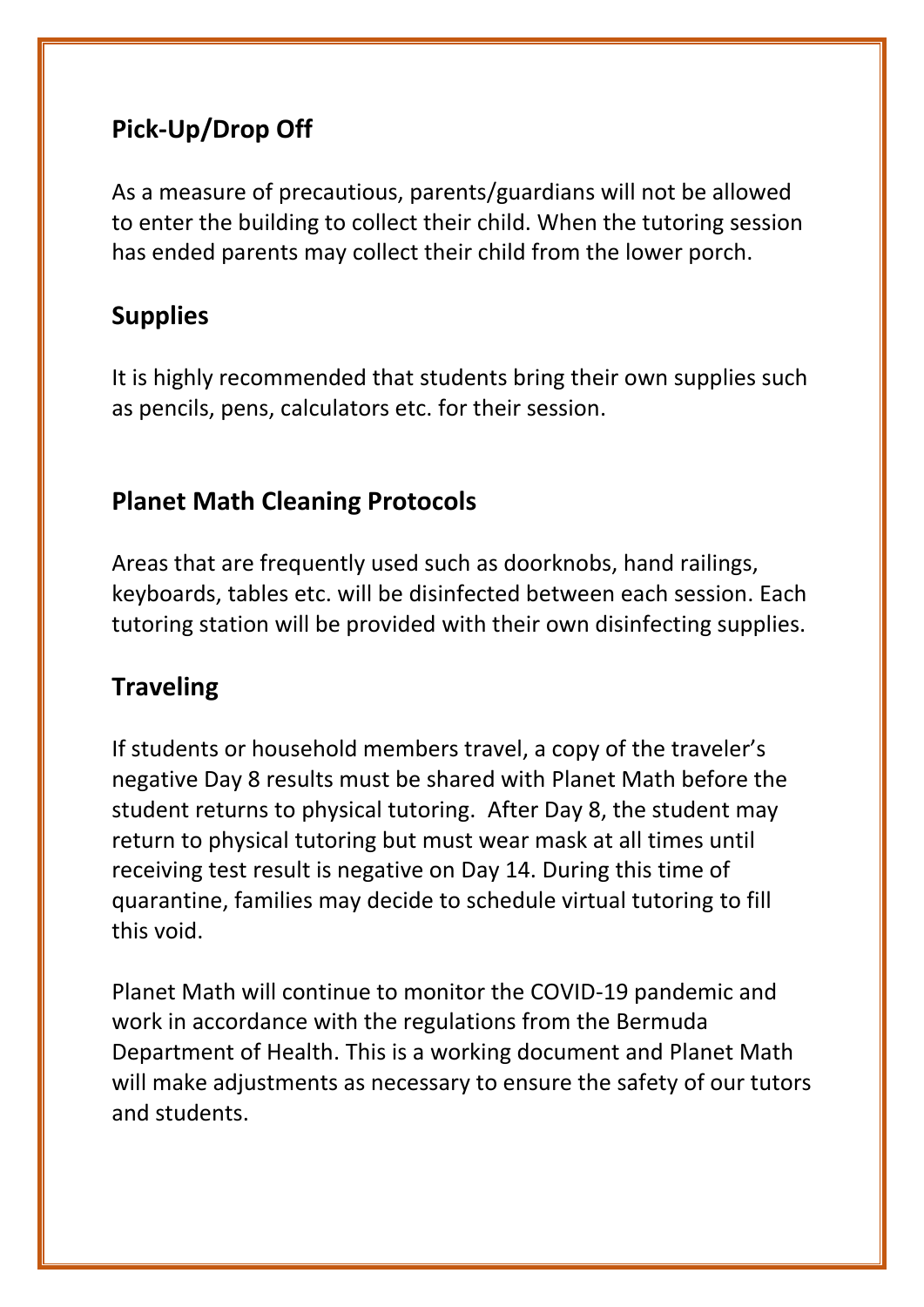# **Pick-Up/Drop Off**

As a measure of precautious, parents/guardians will not be allowed to enter the building to collect their child. When the tutoring session has ended parents may collect their child from the lower porch.

# **Supplies**

It is highly recommended that students bring their own supplies such as pencils, pens, calculators etc. for their session.

## **Planet Math Cleaning Protocols**

Areas that are frequently used such as doorknobs, hand railings, keyboards, tables etc. will be disinfected between each session. Each tutoring station will be provided with their own disinfecting supplies.

# **Traveling**

If students or household members travel, a copy of the traveler's negative Day 8 results must be shared with Planet Math before the student returns to physical tutoring. After Day 8, the student may return to physical tutoring but must wear mask at all times until receiving test result is negative on Day 14. During this time of quarantine, families may decide to schedule virtual tutoring to fill this void.

Planet Math will continue to monitor the COVID-19 pandemic and work in accordance with the regulations from the Bermuda Department of Health. This is a working document and Planet Math will make adjustments as necessary to ensure the safety of our tutors and students.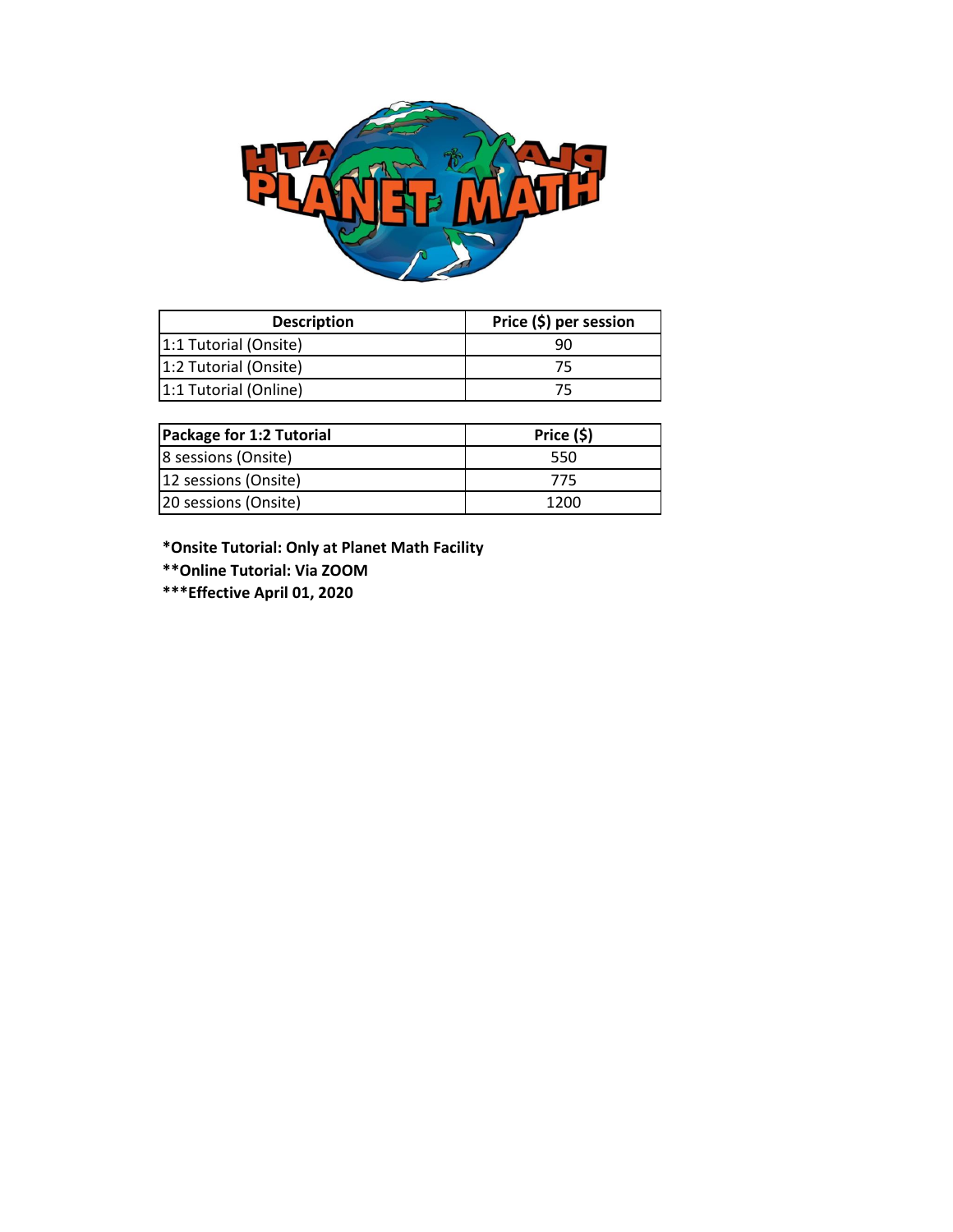

| <b>Description</b>    | Price (\$) per session |
|-----------------------|------------------------|
| 1:1 Tutorial (Onsite) | ٩r                     |
| 1:2 Tutorial (Onsite) |                        |
| 1:1 Tutorial (Online) |                        |

| Package for 1:2 Tutorial | Price (\$) |
|--------------------------|------------|
| 8 sessions (Onsite)      | 550        |
| 12 sessions (Onsite)     | 775        |
| 20 sessions (Onsite)     | 1200       |

**\*Onsite Tutorial: Only at Planet Math Facility**

**\*\*Online Tutorial: Via ZOOM**

**\*\*\*Effective April 01, 2020**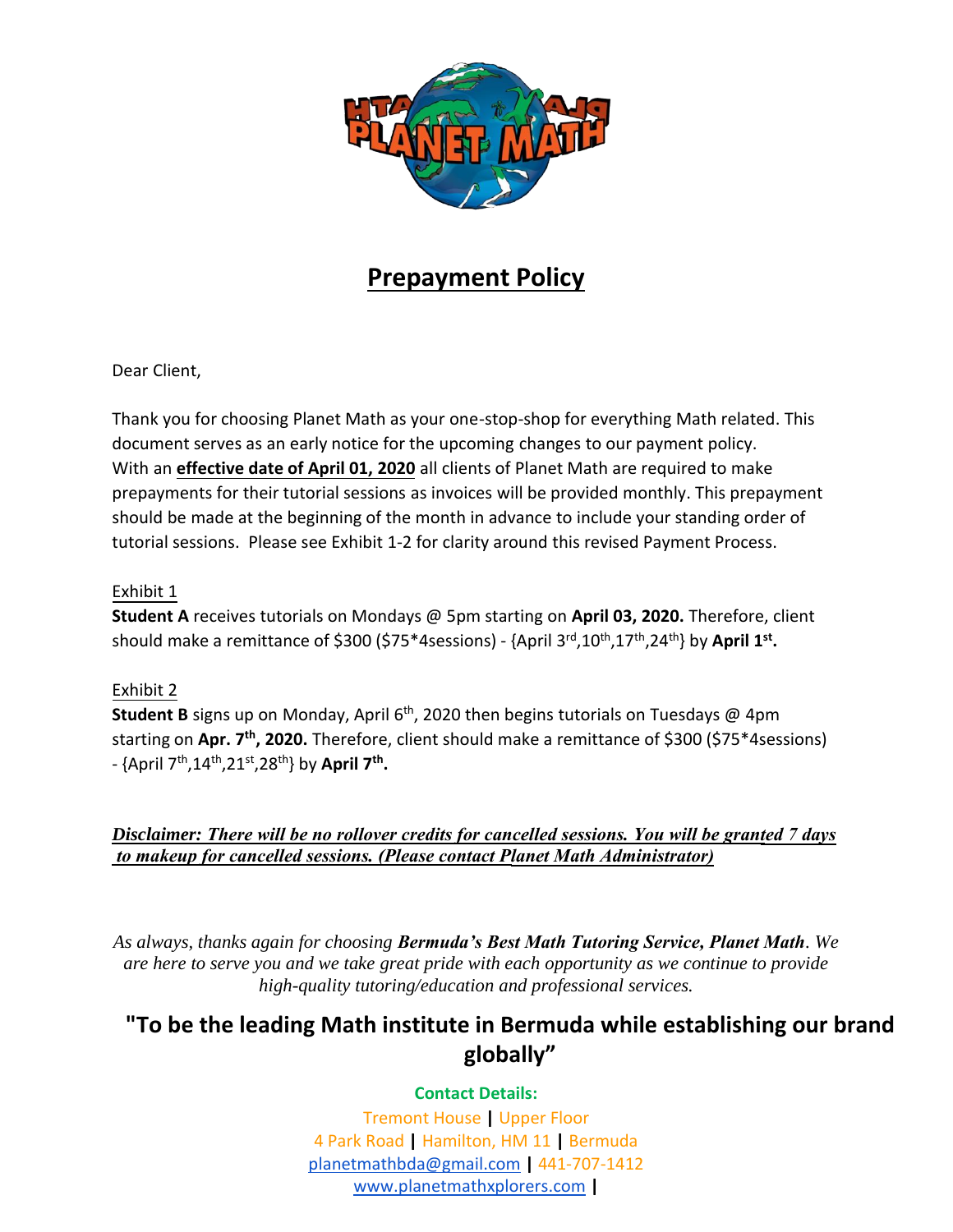

## **Prepayment Policy**

Dear Client,

Thank you for choosing Planet Math as your one-stop-shop for everything Math related. This document serves as an early notice for the upcoming changes to our payment policy. With an **effective date of April 01, 2020** all clients of Planet Math are required to make prepayments for their tutorial sessions as invoices will be provided monthly. This prepayment should be made at the beginning of the month in advance to include your standing order of tutorial sessions. Please see Exhibit 1-2 for clarity around this revised Payment Process.

#### Exhibit 1

**Student A** receives tutorials on Mondays @ 5pm starting on **April 03, 2020.** Therefore, client should make a remittance of \$300 (\$75\*4sessions) - {April 3<sup>rd</sup>,10<sup>th</sup>,17<sup>th</sup>,24<sup>th</sup>} by April 1<sup>st</sup>.

#### Exhibit 2

**Student B** signs up on Monday, April 6<sup>th</sup>, 2020 then begins tutorials on Tuesdays @ 4pm starting on **Apr. 7 th, 2020.** Therefore, client should make a remittance of \$300 (\$75\*4sessions) - {April 7<sup>th</sup>,14<sup>th</sup>,21<sup>st</sup>,28<sup>th</sup>} by **April 7<sup>th</sup>.** 

*Disclaimer: There will be no rollover credits for cancelled sessions. You will be granted 7 days to makeup for cancelled sessions. (Please contact Planet Math Administrator)*

*As always, thanks again for choosing Bermuda's Best Math Tutoring Service, Planet Math. We are here to serve you and we take great pride with each opportunity as we continue to provide high-quality tutoring/education and professional services.*

#### **"To be the leading Math institute in Bermuda while establishing our brand globally"**

#### **Contact Details:**

Tremont House **|** Upper Floor 4 Park Road **|** Hamilton, HM 11 **|** Bermuda [planetmathbda@gmail.com](mailto:planetmathbda@gmail.com) **|** 441-707-1412 [www.planetmathxplorers.com](http://www.planetmathxplorers.com/) **|**